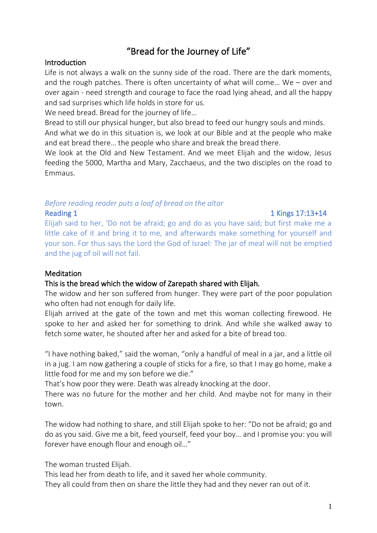# "Bread for the Journey of Life"

### **Introduction**

Life is not always a walk on the sunny side of the road. There are the dark moments, and the rough patches. There is often uncertainty of what will come… We – over and over again - need strength and courage to face the road lying ahead, and all the happy and sad surprises which life holds in store for us.

We need bread. Bread for the journey of life…

Bread to still our physical hunger, but also bread to feed our hungry souls and minds.

And what we do in this situation is, we look at our Bible and at the people who make and eat bread there… the people who share and break the bread there.

We look at the Old and New Testament. And we meet Elijah and the widow, Jesus feeding the 5000, Martha and Mary, Zacchaeus, and the two disciples on the road to Emmaus.

### *Before reading reader puts a loaf of bread on the altar* Reading 1 and 1 Kings 17:13+14

Elijah said to her, 'Do not be afraid; go and do as you have said; but first make me a little cake of it and bring it to me, and afterwards make something for yourself and your son. For thus says the Lord the God of Israel: The jar of meal will not be emptied and the jug of oil will not fail.

# **Meditation**

# This is the bread which the widow of Zarepath shared with Elijah*.*

The widow and her son suffered from hunger. They were part of the poor population who often had not enough for daily life.

Elijah arrived at the gate of the town and met this woman collecting firewood. He spoke to her and asked her for something to drink. And while she walked away to fetch some water, he shouted after her and asked for a bite of bread too.

"I have nothing baked," said the woman, "only a handful of meal in a jar, and a little oil in a jug. I am now gathering a couple of sticks for a fire, so that I may go home, make a little food for me and my son before we die."

That's how poor they were. Death was already knocking at the door.

There was no future for the mother and her child. And maybe not for many in their town.

The widow had nothing to share, and still Elijah spoke to her: "Do not be afraid; go and do as you said. Give me a bit, feed yourself, feed your boy… and I promise you: you will forever have enough flour and enough oil…"

The woman trusted Elijah.

This lead her from death to life, and it saved her whole community.

They all could from then on share the little they had and they never ran out of it.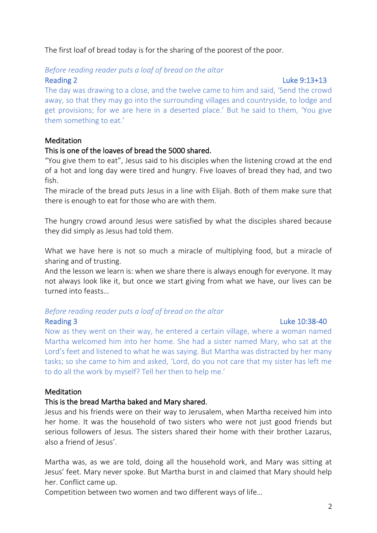The first loaf of bread today is for the sharing of the poorest of the poor.

#### *Before reading reader puts a loaf of bread on the altar* Reading 2 Luke 9:13+13

The day was drawing to a close, and the twelve came to him and said, 'Send the crowd away, so that they may go into the surrounding villages and countryside, to lodge and get provisions; for we are here in a deserted place.' But he said to them, 'You give them something to eat.'

# Meditation

# This is one of the loaves of bread the 5000 shared.

"You give them to eat", Jesus said to his disciples when the listening crowd at the end of a hot and long day were tired and hungry. Five loaves of bread they had, and two fish.

The miracle of the bread puts Jesus in a line with Elijah. Both of them make sure that there is enough to eat for those who are with them.

The hungry crowd around Jesus were satisfied by what the disciples shared because they did simply as Jesus had told them.

What we have here is not so much a miracle of multiplying food, but a miracle of sharing and of trusting.

And the lesson we learn is: when we share there is always enough for everyone. It may not always look like it, but once we start giving from what we have, our lives can be turned into feasts…

# *Before reading reader puts a loaf of bread on the altar*

### Reading 3 Luke 10:38-40

Now as they went on their way, he entered a certain village, where a woman named Martha welcomed him into her home. She had a sister named Mary, who sat at the Lord's feet and listened to what he was saying. But Martha was distracted by her many tasks; so she came to him and asked, 'Lord, do you not care that my sister has left me to do all the work by myself? Tell her then to help me.'

### **Meditation**

# This is the bread Martha baked and Mary shared.

Jesus and his friends were on their way to Jerusalem, when Martha received him into her home. It was the household of two sisters who were not just good friends but serious followers of Jesus. The sisters shared their home with their brother Lazarus, also a friend of Jesus'.

Martha was, as we are told, doing all the household work, and Mary was sitting at Jesus' feet. Mary never spoke. But Martha burst in and claimed that Mary should help her. Conflict came up.

Competition between two women and two different ways of life…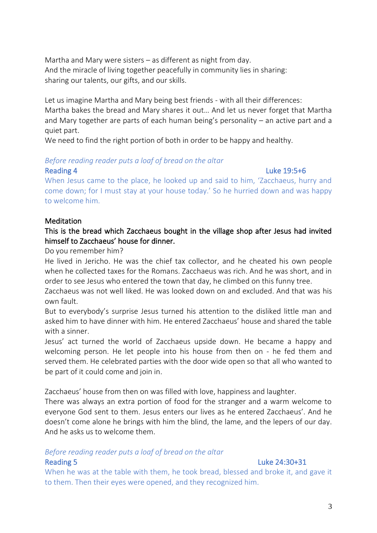Martha and Mary were sisters – as different as night from day. And the miracle of living together peacefully in community lies in sharing: sharing our talents, our gifts, and our skills.

Let us imagine Martha and Mary being best friends - with all their differences: Martha bakes the bread and Mary shares it out… And let us never forget that Martha and Mary together are parts of each human being's personality – an active part and a quiet part.

We need to find the right portion of both in order to be happy and healthy.

### *Before reading reader puts a loaf of bread on the altar*

# Reading 4 Luke 19:5+6

When Jesus came to the place, he looked up and said to him, 'Zacchaeus, hurry and come down; for I must stay at your house today.' So he hurried down and was happy to welcome him.

# **Meditation**

# This is the bread which Zacchaeus bought in the village shop after Jesus had invited himself to Zacchaeus' house for dinner.

Do you remember him?

He lived in Jericho. He was the chief tax collector, and he cheated his own people when he collected taxes for the Romans. Zacchaeus was rich. And he was short, and in order to see Jesus who entered the town that day, he climbed on this funny tree.

Zacchaeus was not well liked. He was looked down on and excluded. And that was his own fault.

But to everybody's surprise Jesus turned his attention to the disliked little man and asked him to have dinner with him. He entered Zacchaeus' house and shared the table with a sinner.

Jesus' act turned the world of Zacchaeus upside down. He became a happy and welcoming person. He let people into his house from then on - he fed them and served them. He celebrated parties with the door wide open so that all who wanted to be part of it could come and join in.

Zacchaeus' house from then on was filled with love, happiness and laughter.

There was always an extra portion of food for the stranger and a warm welcome to everyone God sent to them. Jesus enters our lives as he entered Zacchaeus'. And he doesn't come alone he brings with him the blind, the lame, and the lepers of our day. And he asks us to welcome them.

# *Before reading reader puts a loaf of bread on the altar*

# Reading 5 Luke 24:30+31

When he was at the table with them, he took bread, blessed and broke it, and gave it to them. Then their eyes were opened, and they recognized him.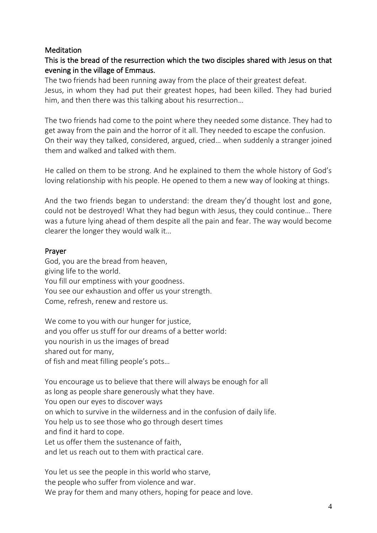### **Meditation**

# This is the bread of the resurrection which the two disciples shared with Jesus on that evening in the village of Emmaus.

The two friends had been running away from the place of their greatest defeat. Jesus, in whom they had put their greatest hopes, had been killed. They had buried him, and then there was this talking about his resurrection…

The two friends had come to the point where they needed some distance. They had to get away from the pain and the horror of it all. They needed to escape the confusion. On their way they talked, considered, argued, cried… when suddenly a stranger joined them and walked and talked with them.

He called on them to be strong. And he explained to them the whole history of God's loving relationship with his people. He opened to them a new way of looking at things.

And the two friends began to understand: the dream they'd thought lost and gone, could not be destroyed! What they had begun with Jesus, they could continue… There was a future lying ahead of them despite all the pain and fear. The way would become clearer the longer they would walk it…

# Prayer

God, you are the bread from heaven, giving life to the world. You fill our emptiness with your goodness. You see our exhaustion and offer us your strength. Come, refresh, renew and restore us.

We come to you with our hunger for justice, and you offer us stuff for our dreams of a better world: you nourish in us the images of bread shared out for many, of fish and meat filling people's pots…

You encourage us to believe that there will always be enough for all as long as people share generously what they have. You open our eyes to discover ways on which to survive in the wilderness and in the confusion of daily life. You help us to see those who go through desert times and find it hard to cope. Let us offer them the sustenance of faith, and let us reach out to them with practical care.

You let us see the people in this world who starve, the people who suffer from violence and war. We pray for them and many others, hoping for peace and love.